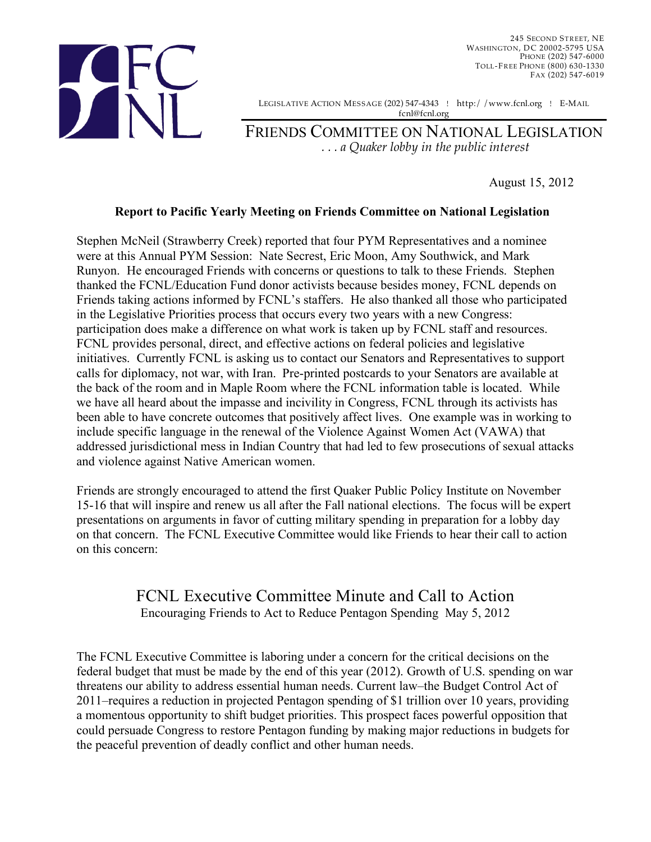

245 SECOND STREET, NE WASHINGTON, DC 20002-5795 USA PHONE (202) 547-6000 TOLL-FREE PHONE (800) 630-1330 FAX (202) 547-6019

LEGISLATIVE ACTION MESSAGE (202) 547-4343 ! http:/ /www.fcnl.org ! E-MAIL fcnl@fcnl.org

FRIENDS COMMITTEE ON NATIONAL LEGISLATION *. . . a Quaker lobby in the public interest*

August 15, 2012

## **Report to Pacific Yearly Meeting on Friends Committee on National Legislation**

Stephen McNeil (Strawberry Creek) reported that four PYM Representatives and a nominee were at this Annual PYM Session: Nate Secrest, Eric Moon, Amy Southwick, and Mark Runyon. He encouraged Friends with concerns or questions to talk to these Friends. Stephen thanked the FCNL/Education Fund donor activists because besides money, FCNL depends on Friends taking actions informed by FCNL's staffers. He also thanked all those who participated in the Legislative Priorities process that occurs every two years with a new Congress: participation does make a difference on what work is taken up by FCNL staff and resources. FCNL provides personal, direct, and effective actions on federal policies and legislative initiatives. Currently FCNL is asking us to contact our Senators and Representatives to support calls for diplomacy, not war, with Iran. Pre-printed postcards to your Senators are available at the back of the room and in Maple Room where the FCNL information table is located. While we have all heard about the impasse and incivility in Congress, FCNL through its activists has been able to have concrete outcomes that positively affect lives. One example was in working to include specific language in the renewal of the Violence Against Women Act (VAWA) that addressed jurisdictional mess in Indian Country that had led to few prosecutions of sexual attacks and violence against Native American women.

Friends are strongly encouraged to attend the first Quaker Public Policy Institute on November 15-16 that will inspire and renew us all after the Fall national elections. The focus will be expert presentations on arguments in favor of cutting military spending in preparation for a lobby day on that concern. The FCNL Executive Committee would like Friends to hear their call to action on this concern:

## FCNL Executive Committee Minute and Call to Action Encouraging Friends to Act to Reduce Pentagon Spending May 5, 2012

The FCNL Executive Committee is laboring under a concern for the critical decisions on the federal budget that must be made by the end of this year (2012). Growth of U.S. spending on war threatens our ability to address essential human needs. Current law–the Budget Control Act of 2011–requires a reduction in projected Pentagon spending of \$1 trillion over 10 years, providing a momentous opportunity to shift budget priorities. This prospect faces powerful opposition that could persuade Congress to restore Pentagon funding by making major reductions in budgets for the peaceful prevention of deadly conflict and other human needs.